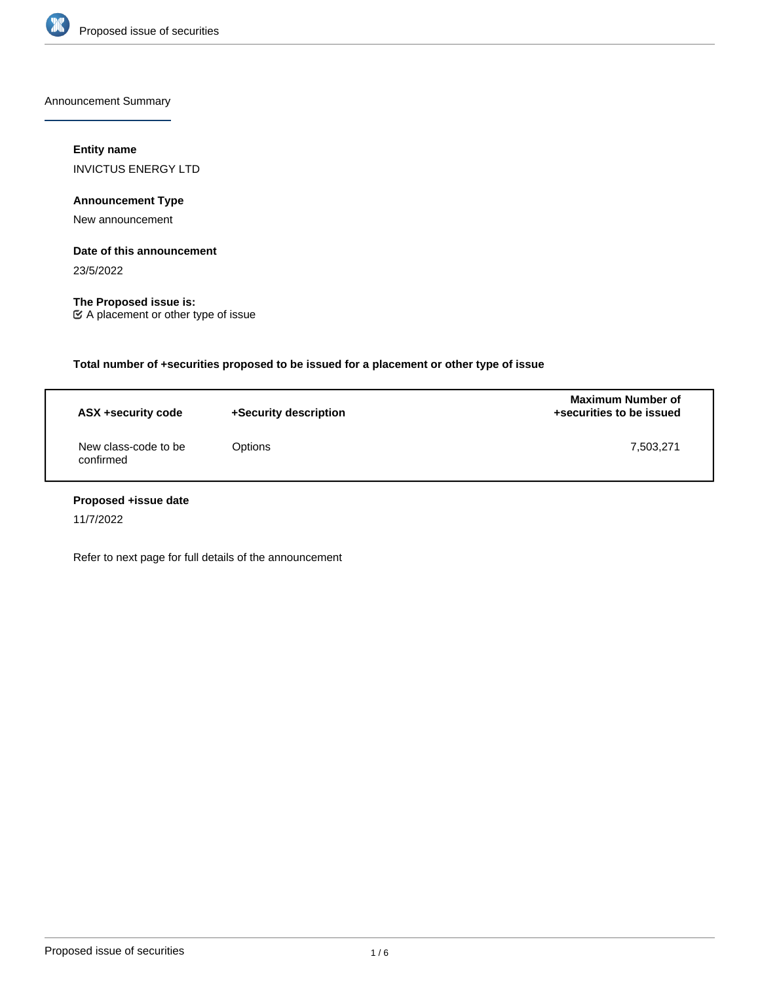

Announcement Summary

# **Entity name**

INVICTUS ENERGY LTD

**Announcement Type**

New announcement

# **Date of this announcement**

23/5/2022

**The Proposed issue is:** A placement or other type of issue

**Total number of +securities proposed to be issued for a placement or other type of issue**

| ASX +security code                | +Security description | <b>Maximum Number of</b><br>+securities to be issued |
|-----------------------------------|-----------------------|------------------------------------------------------|
| New class-code to be<br>confirmed | Options               | 7,503,271                                            |

# **Proposed +issue date**

11/7/2022

Refer to next page for full details of the announcement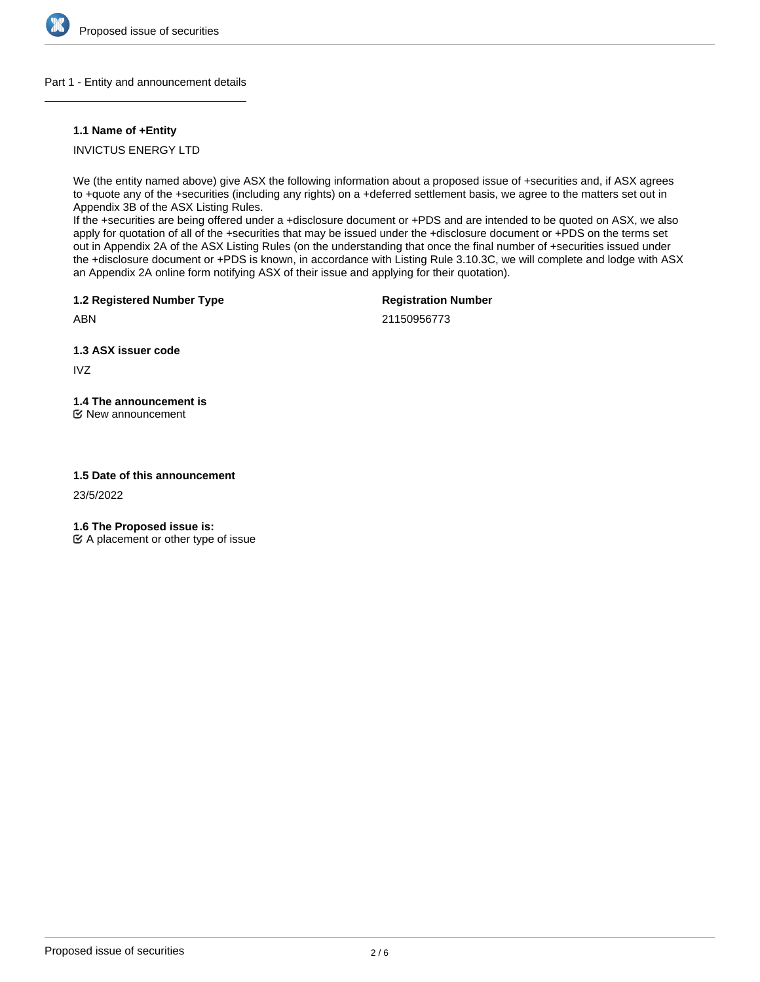

#### Part 1 - Entity and announcement details

#### **1.1 Name of +Entity**

INVICTUS ENERGY LTD

We (the entity named above) give ASX the following information about a proposed issue of +securities and, if ASX agrees to +quote any of the +securities (including any rights) on a +deferred settlement basis, we agree to the matters set out in Appendix 3B of the ASX Listing Rules.

If the +securities are being offered under a +disclosure document or +PDS and are intended to be quoted on ASX, we also apply for quotation of all of the +securities that may be issued under the +disclosure document or +PDS on the terms set out in Appendix 2A of the ASX Listing Rules (on the understanding that once the final number of +securities issued under the +disclosure document or +PDS is known, in accordance with Listing Rule 3.10.3C, we will complete and lodge with ASX an Appendix 2A online form notifying ASX of their issue and applying for their quotation).

**1.2 Registered Number Type**

**Registration Number**

ABN

21150956773

**1.3 ASX issuer code**

IVZ

# **1.4 The announcement is**

New announcement

# **1.5 Date of this announcement**

23/5/2022

**1.6 The Proposed issue is:**

 $\mathfrak{C}$  A placement or other type of issue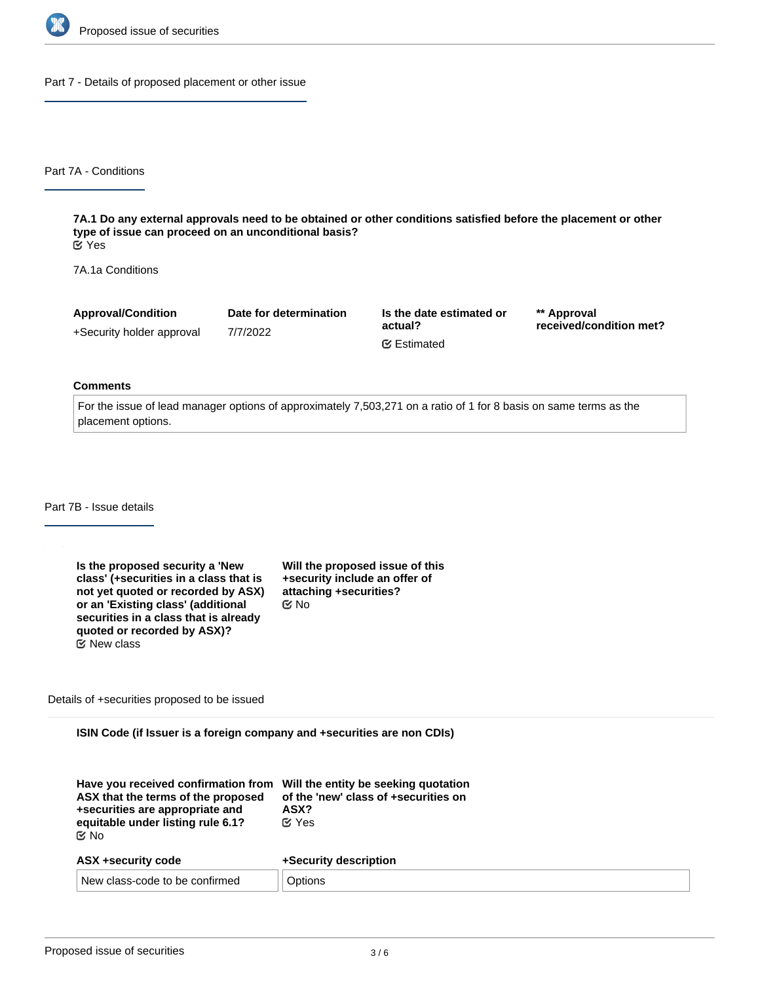

Part 7 - Details of proposed placement or other issue

Part 7A - Conditions

**7A.1 Do any external approvals need to be obtained or other conditions satisfied before the placement or other type of issue can proceed on an unconditional basis?** Yes

7A.1a Conditions

| <b>Approval/Condition</b> | Date for determination | Is the date estimated or | ** Approval             |
|---------------------------|------------------------|--------------------------|-------------------------|
| +Security holder approval | 7/7/2022               | actual?                  | received/condition met? |
|                           |                        | <b></b> Estimated        |                         |

#### **Comments**

For the issue of lead manager options of approximately 7,503,271 on a ratio of 1 for 8 basis on same terms as the placement options.

Part 7B - Issue details

| Is the proposed security a 'New<br>class' (+securities in a class that is<br>not yet quoted or recorded by ASX)<br>or an 'Existing class' (additional<br>securities in a class that is already<br>quoted or recorded by ASX)? | Will the proposed issue of this<br>+security include an offer of<br>attaching +securities?<br>ඦ No |
|-------------------------------------------------------------------------------------------------------------------------------------------------------------------------------------------------------------------------------|----------------------------------------------------------------------------------------------------|
| $\mathfrak C$ New class                                                                                                                                                                                                       |                                                                                                    |

Details of +securities proposed to be issued

**ISIN Code (if Issuer is a foreign company and +securities are non CDIs)**

| Have you received confirmation from Will the entity be seeking quotation<br>ASX that the terms of the proposed<br>+securities are appropriate and<br>equitable under listing rule 6.1?<br>় No | of the 'new' class of +securities on<br>ASX?<br>$\alpha$ Yes |
|------------------------------------------------------------------------------------------------------------------------------------------------------------------------------------------------|--------------------------------------------------------------|
| ASX +security code                                                                                                                                                                             | +Security description                                        |

| <b>AUA TOCULITY COUL</b>         | <b>TUGGUILLY UGSUILLUID</b> |
|----------------------------------|-----------------------------|
| ⊥ New class-code to be confirmed |                             |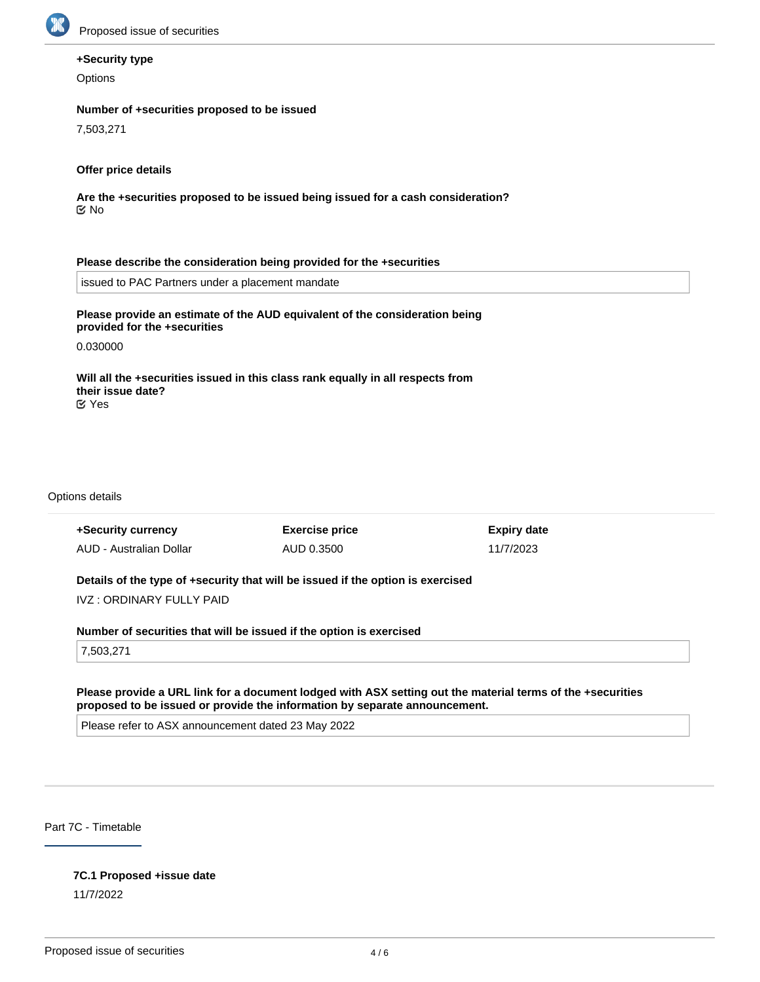

# **+Security type**

**Options** 

### **Number of +securities proposed to be issued**

7,503,271

### **Offer price details**

**Are the +securities proposed to be issued being issued for a cash consideration?** No

#### **Please describe the consideration being provided for the +securities**

issued to PAC Partners under a placement mandate

# **Please provide an estimate of the AUD equivalent of the consideration being provided for the +securities**

0.030000

**Will all the +securities issued in this class rank equally in all respects from their issue date?** Yes

Options details

| +Security currency                                                              | <b>Exercise price</b> | <b>Expiry date</b> |  |  |
|---------------------------------------------------------------------------------|-----------------------|--------------------|--|--|
| AUD - Australian Dollar                                                         | AUD 0.3500            | 11/7/2023          |  |  |
|                                                                                 |                       |                    |  |  |
| Details of the type of +security that will be issued if the option is exercised |                       |                    |  |  |
| IVZ : ORDINARY FULLY PAID                                                       |                       |                    |  |  |
|                                                                                 |                       |                    |  |  |
| Number of securities that will be issued if the option is exercised             |                       |                    |  |  |
|                                                                                 |                       |                    |  |  |

7,503,271

#### **Please provide a URL link for a document lodged with ASX setting out the material terms of the +securities proposed to be issued or provide the information by separate announcement.**

Please refer to ASX announcement dated 23 May 2022

Part 7C - Timetable

#### **7C.1 Proposed +issue date**

11/7/2022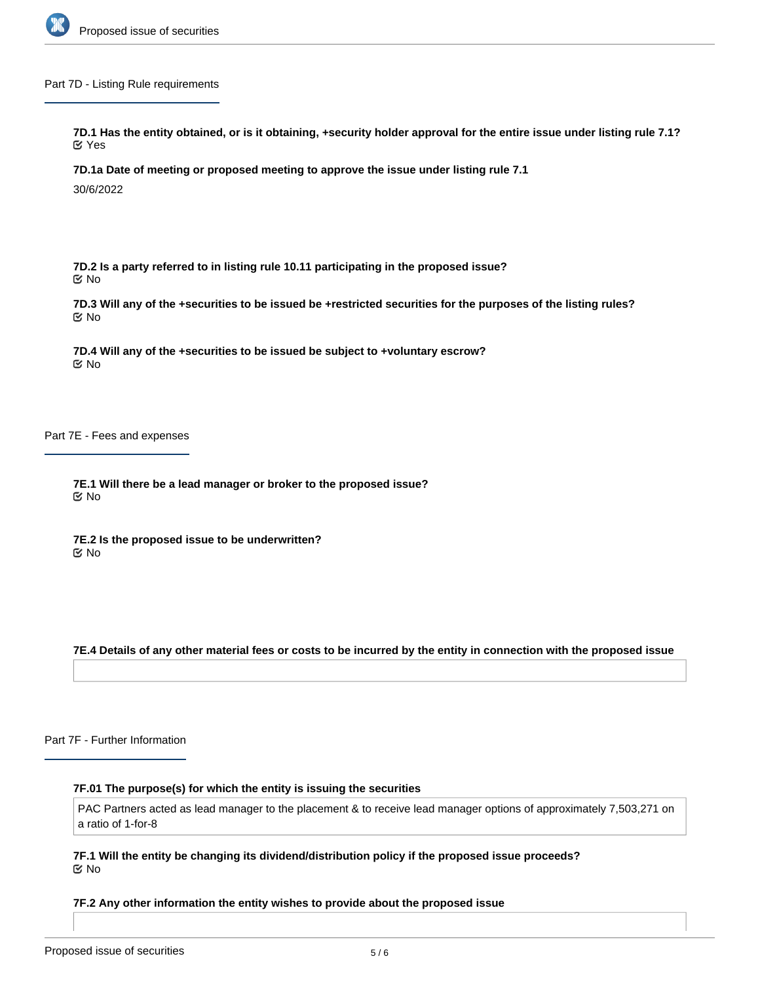

Part 7D - Listing Rule requirements

**7D.1 Has the entity obtained, or is it obtaining, +security holder approval for the entire issue under listing rule 7.1?** Yes

**7D.1a Date of meeting or proposed meeting to approve the issue under listing rule 7.1**

30/6/2022

**7D.2 Is a party referred to in listing rule 10.11 participating in the proposed issue?** No

**7D.3 Will any of the +securities to be issued be +restricted securities for the purposes of the listing rules?** No

**7D.4 Will any of the +securities to be issued be subject to +voluntary escrow?** No

Part 7E - Fees and expenses

**7E.1 Will there be a lead manager or broker to the proposed issue?** No

**7E.2 Is the proposed issue to be underwritten?** No

**7E.4 Details of any other material fees or costs to be incurred by the entity in connection with the proposed issue**

Part 7F - Further Information

**7F.01 The purpose(s) for which the entity is issuing the securities**

PAC Partners acted as lead manager to the placement & to receive lead manager options of approximately 7,503,271 on a ratio of 1-for-8

**7F.1 Will the entity be changing its dividend/distribution policy if the proposed issue proceeds?** No

**7F.2 Any other information the entity wishes to provide about the proposed issue**